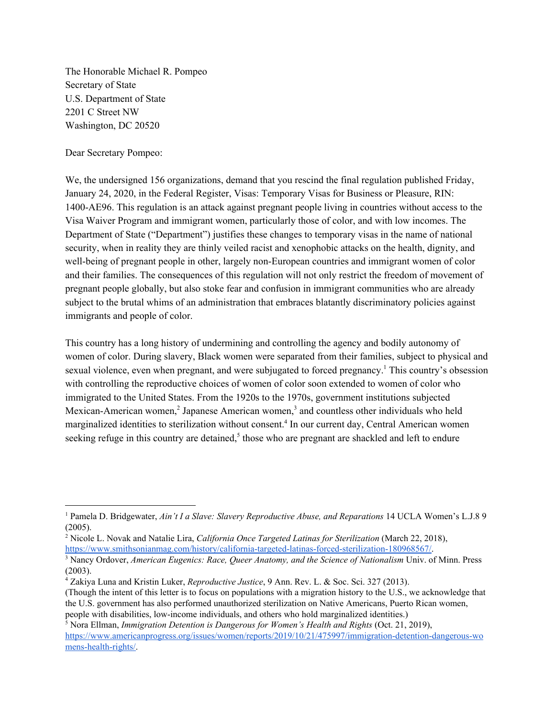The Honorable Michael R. Pompeo Secretary of State U.S. Department of State 2201 C Street NW Washington, DC 20520

Dear Secretary Pompeo:

We, the undersigned 156 organizations, demand that you rescind the final regulation published Friday, January 24, 2020, in the Federal Register, Visas: Temporary Visas for Business or Pleasure, RIN: 1400-AE96. This regulation is an attack against pregnant people living in countries without access to the Visa Waiver Program and immigrant women, particularly those of color, and with low incomes. The Department of State ("Department") justifies these changes to temporary visas in the name of national security, when in reality they are thinly veiled racist and xenophobic attacks on the health, dignity, and well-being of pregnant people in other, largely non-European countries and immigrant women of color and their families. The consequences of this regulation will not only restrict the freedom of movement of pregnant people globally, but also stoke fear and confusion in immigrant communities who are already subject to the brutal whims of an administration that embraces blatantly discriminatory policies against immigrants and people of color.

This country has a long history of undermining and controlling the agency and bodily autonomy of women of color. During slavery, Black women were separated from their families, subject to physical and sexual violence, even when pregnant, and were subjugated to forced pregnancy.<sup>1</sup> This country's obsession with controlling the reproductive choices of women of color soon extended to women of color who immigrated to the United States. From the 1920s to the 1970s, government institutions subjected Mexican-American women, $\frac{3}{2}$  Japanese American women, $\frac{3}{2}$  and countless other individuals who held marginalized identities to sterilization without consent.<sup>4</sup> In our current day, Central American women seeking refuge in this country are detained,<sup>5</sup> those who are pregnant are shackled and left to endure

<sup>1</sup> Pamela D. Bridgewater, *Ain't I a Slave: Slavery Reproductive Abuse, and Reparations* 14 UCLA Women's L.J.8 9 (2005).

<sup>2</sup> Nicole L. Novak and Natalie Lira, *California Once Targeted Latinas for Sterilization* (March 22, 2018), <https://www.smithsonianmag.com/history/california-targeted-latinas-forced-sterilization-180968567/>.

<sup>3</sup> Nancy Ordover, *American Eugenics: Race, Queer Anatomy, and the Science of Nationalism* Univ. of Minn. Press (2003).

<sup>4</sup> Zakiya Luna and Kristin Luker, *Reproductive Justice*, 9 Ann. Rev. L. & Soc. Sci. 327 (2013).

<sup>(</sup>Though the intent of this letter is to focus on populations with a migration history to the U.S., we acknowledge that the U.S. government has also performed unauthorized sterilization on Native Americans, Puerto Rican women, people with disabilities, low-income individuals, and others who hold marginalized identities.)

<sup>5</sup> Nora Ellman, *Immigration Detention is Dangerous for Women's Health and Rights* (Oct. 21, 2019), [https://www.americanprogress.org/issues/women/reports/2019/10/21/475997/immigration-detention-dangerous-wo](https://www.americanprogress.org/issues/women/reports/2019/10/21/475997/immigration-detention-dangerous-womens-health-rights/) [mens-health-rights/.](https://www.americanprogress.org/issues/women/reports/2019/10/21/475997/immigration-detention-dangerous-womens-health-rights/)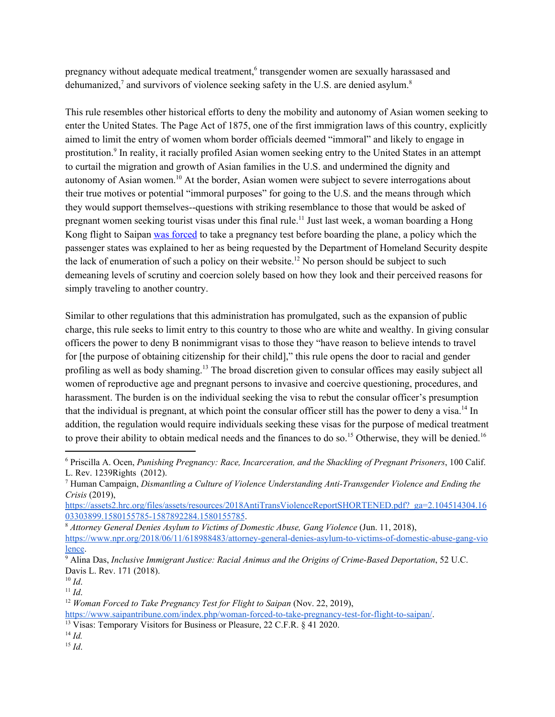pregnancy without adequate medical treatment,<sup>6</sup> transgender women are sexually harassased and dehumanized,<sup>7</sup> and survivors of violence seeking safety in the U.S. are denied asylum.<sup>8</sup>

This rule resembles other historical efforts to deny the mobility and autonomy of Asian women seeking to enter the United States. The Page Act of 1875, one of the first immigration laws of this country, explicitly aimed to limit the entry of women whom border officials deemed "immoral" and likely to engage in prostitution.<sup>9</sup> In reality, it racially profiled Asian women seeking entry to the United States in an attempt to curtail the migration and growth of Asian families in the U.S. and undermined the dignity and autonomy of Asian women.<sup>10</sup> At the border, Asian women were subject to severe interrogations about their true motives or potential "immoral purposes" for going to the U.S. and the means through which they would support themselves--questions with striking resemblance to those that would be asked of pregnant women seeking tourist visas under this final rule.<sup>11</sup> Just last week, a woman boarding a Hong Kong flight to Saipan was [forced](https://www.saipantribune.com/index.php/woman-forced-to-take-pregnancy-test-for-flight-to-saipan/) to take a pregnancy test before boarding the plane, a policy which the passenger states was explained to her as being requested by the Department of Homeland Security despite the lack of enumeration of such a policy on their website.<sup>12</sup> No person should be subject to such demeaning levels of scrutiny and coercion solely based on how they look and their perceived reasons for simply traveling to another country.

Similar to other regulations that this administration has promulgated, such as the expansion of public charge, this rule seeks to limit entry to this country to those who are white and wealthy. In giving consular officers the power to deny B nonimmigrant visas to those they "have reason to believe intends to travel for [the purpose of obtaining citizenship for their child]," this rule opens the door to racial and gender profiling as well as body shaming.<sup>13</sup> The broad discretion given to consular offices may easily subject all women of reproductive age and pregnant persons to invasive and coercive questioning, procedures, and harassment. The burden is on the individual seeking the visa to rebut the consular officer's presumption that the individual is pregnant, at which point the consular officer still has the power to deny a visa.<sup>14</sup> In addition, the regulation would require individuals seeking these visas for the purpose of medical treatment to prove their ability to obtain medical needs and the finances to do so.<sup>15</sup> Otherwise, they will be denied.<sup>16</sup>

<sup>15</sup> *Id*.

<sup>6</sup> Priscilla A. Ocen, *Punishing Pregnancy: Race, Incarceration, and the Shackling of Pregnant Prisoners*, 100 Calif. L. Rev. 1239Rights (2012).

<sup>7</sup> Human Campaign, *Dismantling a Culture of Violence Understanding Anti-Transgender Violence and Ending the Crisis* (2019),

[https://assets2.hrc.org/files/assets/resources/2018AntiTransViolenceReportSHORTENED.pdf?\\_ga=2.104514304.16](https://assets2.hrc.org/files/assets/resources/2018AntiTransViolenceReportSHORTENED.pdf?_ga=2.104514304.1603303899.1580155785-1587892284.1580155785) [03303899.1580155785-1587892284.1580155785](https://assets2.hrc.org/files/assets/resources/2018AntiTransViolenceReportSHORTENED.pdf?_ga=2.104514304.1603303899.1580155785-1587892284.1580155785).

<sup>8</sup> *Attorney General Denies Asylum to Victims of Domestic Abuse, Gang Violence* (Jun. 11, 2018),

[https://www.npr.org/2018/06/11/618988483/attorney-general-denies-asylum-to-victims-of-domestic-abuse-gang-vio](https://www.npr.org/2018/06/11/618988483/attorney-general-denies-asylum-to-victims-of-domestic-abuse-gang-violence) [lence](https://www.npr.org/2018/06/11/618988483/attorney-general-denies-asylum-to-victims-of-domestic-abuse-gang-violence).

<sup>9</sup> Alina Das, *Inclusive Immigrant Justice: Racial Animus and the Origins of Crime-Based Deportation*, 52 U.C. Davis L. Rev. 171 (2018).

 $10$  *Id.* 

 $11$  *Id.* 

<sup>12</sup> *Woman Forced to Take Pregnancy Test for Flight to Saipan* (Nov. 22, 2019),

[https://www.saipantribune.com/index.php/woman-forced-to-take-pregnancy-test-for-flight-to-saipan/.](https://www.saipantribune.com/index.php/woman-forced-to-take-pregnancy-test-for-flight-to-saipan/)

<sup>&</sup>lt;sup>13</sup> Visas: Temporary Visitors for Business or Pleasure, 22 C.F.R. § 41 2020.

<sup>14</sup> *Id.*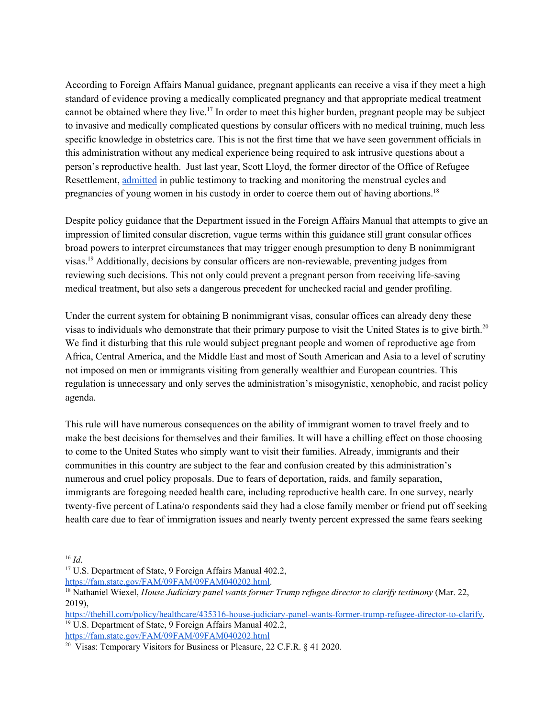According to Foreign Affairs Manual guidance, pregnant applicants can receive a visa if they meet a high standard of evidence proving a medically complicated pregnancy and that appropriate medical treatment cannot be obtained where they live.<sup>17</sup> In order to meet this higher burden, pregnant people may be subject to invasive and medically complicated questions by consular officers with no medical training, much less specific knowledge in obstetrics care. This is not the first time that we have seen government officials in this administration without any medical experience being required to ask intrusive questions about a person's reproductive health. Just last year, Scott Lloyd, the former director of the Office of Refugee Resettlement, [admitted](https://thehill.com/policy/healthcare/435316-house-judiciary-panel-wants-former-trump-refugee-director-to-clarify) in public testimony to tracking and monitoring the menstrual cycles and pregnancies of young women in his custody in order to coerce them out of having abortions.<sup>18</sup>

Despite policy guidance that the Department issued in the Foreign Affairs Manual that attempts to give an impression of limited consular discretion, vague terms within this guidance still grant consular offices broad powers to interpret circumstances that may trigger enough presumption to deny B nonimmigrant visas.<sup>19</sup> Additionally, decisions by consular officers are non-reviewable, preventing judges from reviewing such decisions. This not only could prevent a pregnant person from receiving life-saving medical treatment, but also sets a dangerous precedent for unchecked racial and gender profiling.

Under the current system for obtaining B nonimmigrant visas, consular offices can already deny these visas to individuals who demonstrate that their primary purpose to visit the United States is to give birth.<sup>20</sup> We find it disturbing that this rule would subject pregnant people and women of reproductive age from Africa, Central America, and the Middle East and most of South American and Asia to a level of scrutiny not imposed on men or immigrants visiting from generally wealthier and European countries. This regulation is unnecessary and only serves the administration's misogynistic, xenophobic, and racist policy agenda.

This rule will have numerous consequences on the ability of immigrant women to travel freely and to make the best decisions for themselves and their families. It will have a chilling effect on those choosing to come to the United States who simply want to visit their families. Already, immigrants and their communities in this country are subject to the fear and confusion created by this administration's numerous and cruel policy proposals. Due to fears of deportation, raids, and family separation, immigrants are foregoing needed health care, including reproductive health care. In one survey, nearly twenty-five percent of Latina/o respondents said they had a close family member or friend put off seeking health care due to fear of immigration issues and nearly twenty percent expressed the same fears seeking

<sup>16</sup> *Id*.

<sup>&</sup>lt;sup>17</sup> U.S. Department of State, 9 Foreign Affairs Manual 402.2,

[https://fam.state.gov/FAM/09FAM/09FAM040202.html.](https://fam.state.gov/FAM/09FAM/09FAM040202.html)

<sup>18</sup> Nathaniel Wiexel, *House Judiciary panel wants former Trump refugee director to clarify testimony* (Mar. 22, 2019),

<https://thehill.com/policy/healthcare/435316-house-judiciary-panel-wants-former-trump-refugee-director-to-clarify>. <sup>19</sup> U.S. Department of State, 9 Foreign Affairs Manual 402.2, <https://fam.state.gov/FAM/09FAM/09FAM040202.html>

<sup>&</sup>lt;sup>20</sup> Visas: Temporary Visitors for Business or Pleasure, 22 C.F.R. § 41 2020.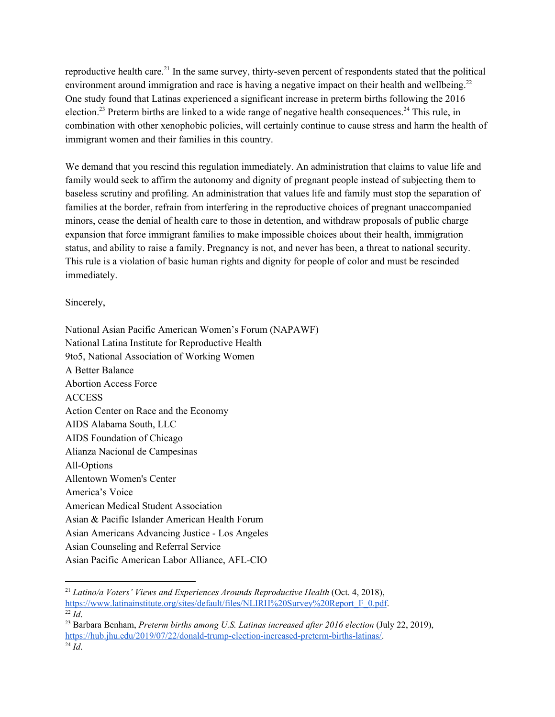reproductive health care.<sup>21</sup> In the same survey, thirty-seven percent of respondents stated that the political environment around immigration and race is having a negative impact on their health and wellbeing.<sup>22</sup> One study found that Latinas experienced a significant increase in preterm births following the 2016 election.<sup>23</sup> Preterm births are linked to a wide range of negative health consequences.<sup>24</sup> This rule, in combination with other xenophobic policies, will certainly continue to cause stress and harm the health of immigrant women and their families in this country.

We demand that you rescind this regulation immediately. An administration that claims to value life and family would seek to affirm the autonomy and dignity of pregnant people instead of subjecting them to baseless scrutiny and profiling. An administration that values life and family must stop the separation of families at the border, refrain from interfering in the reproductive choices of pregnant unaccompanied minors, cease the denial of health care to those in detention, and withdraw proposals of public charge expansion that force immigrant families to make impossible choices about their health, immigration status, and ability to raise a family. Pregnancy is not, and never has been, a threat to national security. This rule is a violation of basic human rights and dignity for people of color and must be rescinded immediately.

Sincerely,

National Asian Pacific American Women's Forum (NAPAWF) National Latina Institute for Reproductive Health 9to5, National Association of Working Women A Better Balance Abortion Access Force ACCESS Action Center on Race and the Economy AIDS Alabama South, LLC AIDS Foundation of Chicago Alianza Nacional de Campesinas All-Options Allentown Women's Center America's Voice American Medical Student Association Asian & Pacific Islander American Health Forum Asian Americans Advancing Justice - Los Angeles Asian Counseling and Referral Service Asian Pacific American Labor Alliance, AFL-CIO

<sup>21</sup> *Latino/a Voters' Views and Experiences Arounds Reproductive Health* (Oct. 4, 2018), [https://www.latinainstitute.org/sites/default/files/NLIRH%20Survey%20Report\\_F\\_0.pdf](https://www.latinainstitute.org/sites/default/files/NLIRH%20Survey%20Report_F_0.pdf). <sup>22</sup> *Id*.

<sup>23</sup> Barbara Benham, *Preterm births among U.S. Latinas increased after 2016 election* (July 22, 2019), [https://hub.jhu.edu/2019/07/22/donald-trump-election-increased-preterm-births-latinas/.](https://hub.jhu.edu/2019/07/22/donald-trump-election-increased-preterm-births-latinas/)

 $^{24}$  *Id.*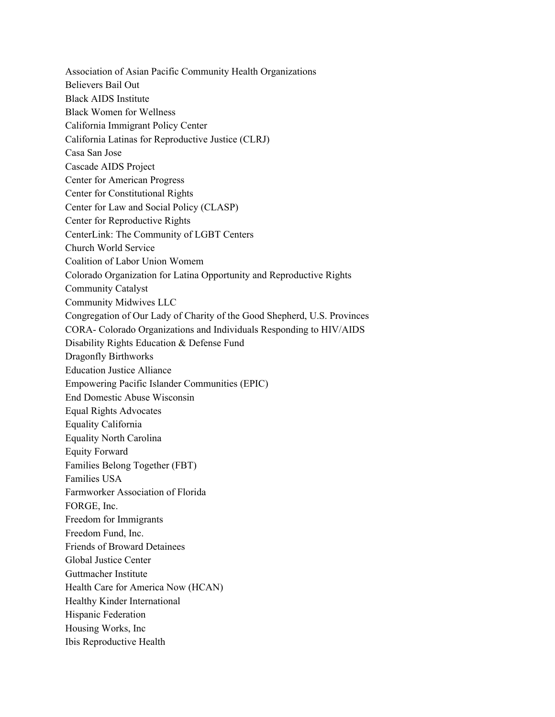Association of Asian Pacific Community Health Organizations Believers Bail Out Black AIDS Institute Black Women for Wellness California Immigrant Policy Center California Latinas for Reproductive Justice (CLRJ) Casa San Jose Cascade AIDS Project Center for American Progress Center for Constitutional Rights Center for Law and Social Policy (CLASP) Center for Reproductive Rights CenterLink: The Community of LGBT Centers Church World Service Coalition of Labor Union Womem Colorado Organization for Latina Opportunity and Reproductive Rights Community Catalyst Community Midwives LLC Congregation of Our Lady of Charity of the Good Shepherd, U.S. Provinces CORA- Colorado Organizations and Individuals Responding to HIV/AIDS Disability Rights Education & Defense Fund Dragonfly Birthworks Education Justice Alliance Empowering Pacific Islander Communities (EPIC) End Domestic Abuse Wisconsin Equal Rights Advocates Equality California Equality North Carolina Equity Forward Families Belong Together (FBT) Families USA Farmworker Association of Florida FORGE, Inc. Freedom for Immigrants Freedom Fund, Inc. Friends of Broward Detainees Global Justice Center Guttmacher Institute Health Care for America Now (HCAN) Healthy Kinder International Hispanic Federation Housing Works, Inc Ibis Reproductive Health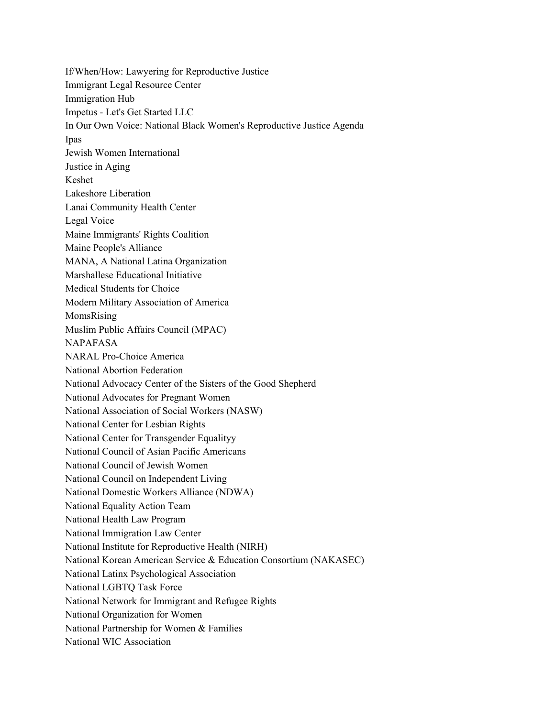If/When/How: Lawyering for Reproductive Justice Immigrant Legal Resource Center Immigration Hub Impetus - Let's Get Started LLC In Our Own Voice: National Black Women's Reproductive Justice Agenda Ipas Jewish Women International Justice in Aging Keshet Lakeshore Liberation Lanai Community Health Center Legal Voice Maine Immigrants' Rights Coalition Maine People's Alliance MANA, A National Latina Organization Marshallese Educational Initiative Medical Students for Choice Modern Military Association of America MomsRising Muslim Public Affairs Council (MPAC) NAPAFASA NARAL Pro-Choice America National Abortion Federation National Advocacy Center of the Sisters of the Good Shepherd National Advocates for Pregnant Women National Association of Social Workers (NASW) National Center for Lesbian Rights National Center for Transgender Equalityy National Council of Asian Pacific Americans National Council of Jewish Women National Council on Independent Living National Domestic Workers Alliance (NDWA) National Equality Action Team National Health Law Program National Immigration Law Center National Institute for Reproductive Health (NIRH) National Korean American Service & Education Consortium (NAKASEC) National Latinx Psychological Association National LGBTQ Task Force National Network for Immigrant and Refugee Rights National Organization for Women National Partnership for Women & Families National WIC Association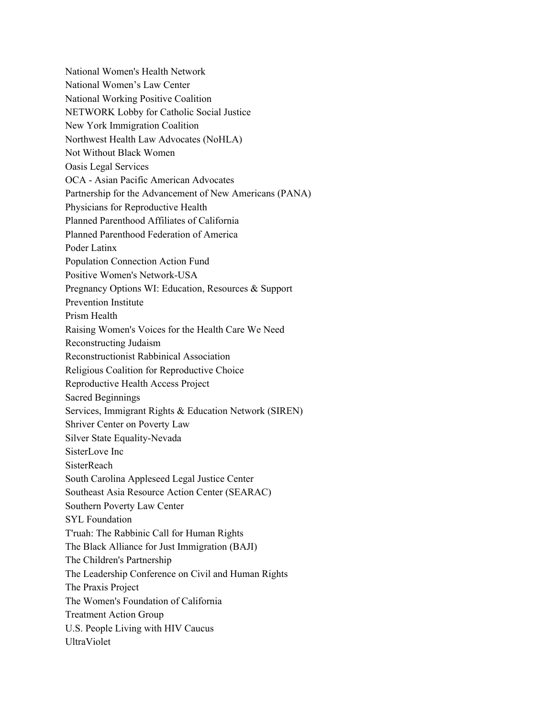National Women's Health Network National Women's Law Center National Working Positive Coalition NETWORK Lobby for Catholic Social Justice New York Immigration Coalition Northwest Health Law Advocates (NoHLA) Not Without Black Women Oasis Legal Services OCA - Asian Pacific American Advocates Partnership for the Advancement of New Americans (PANA) Physicians for Reproductive Health Planned Parenthood Affiliates of California Planned Parenthood Federation of America Poder Latinx Population Connection Action Fund Positive Women's Network-USA Pregnancy Options WI: Education, Resources & Support Prevention Institute Prism Health Raising Women's Voices for the Health Care We Need Reconstructing Judaism Reconstructionist Rabbinical Association Religious Coalition for Reproductive Choice Reproductive Health Access Project Sacred Beginnings Services, Immigrant Rights & Education Network (SIREN) Shriver Center on Poverty Law Silver State Equality-Nevada SisterLove Inc **SisterReach** South Carolina Appleseed Legal Justice Center Southeast Asia Resource Action Center (SEARAC) Southern Poverty Law Center SYL Foundation T'ruah: The Rabbinic Call for Human Rights The Black Alliance for Just Immigration (BAJI) The Children's Partnership The Leadership Conference on Civil and Human Rights The Praxis Project The Women's Foundation of California Treatment Action Group U.S. People Living with HIV Caucus UltraViolet